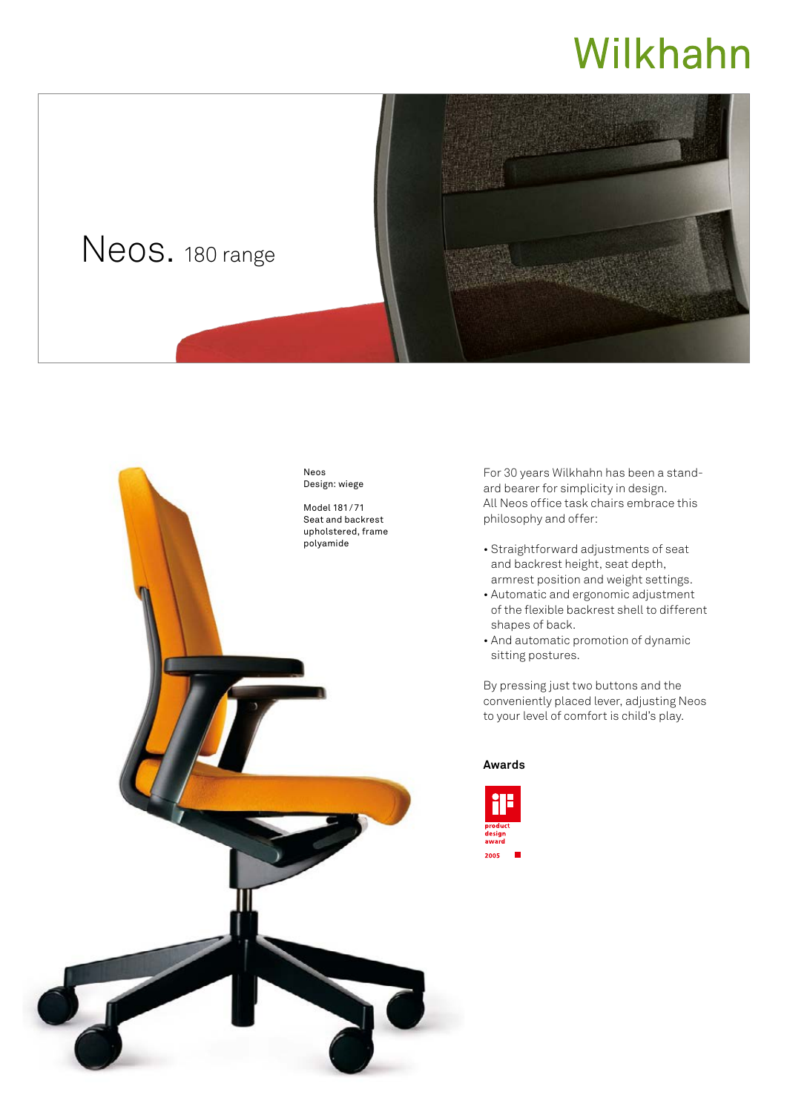## Wilkhahn





For 30 years Wilkhahn has been a standard bearer for simplicity in design. All Neos office task chairs embrace this philosophy and offer:

- Straightforward adjustments of seat and backrest height, seat depth, armrest position and weight settings.
- Automatic and ergonomic adjustment of the flexible backrest shell to different shapes of back.
- And automatic promotion of dynamic sitting postures.

By pressing just two buttons and the conveniently placed lever, adjusting Neos to your level of comfort is child's play.

## **Awards**